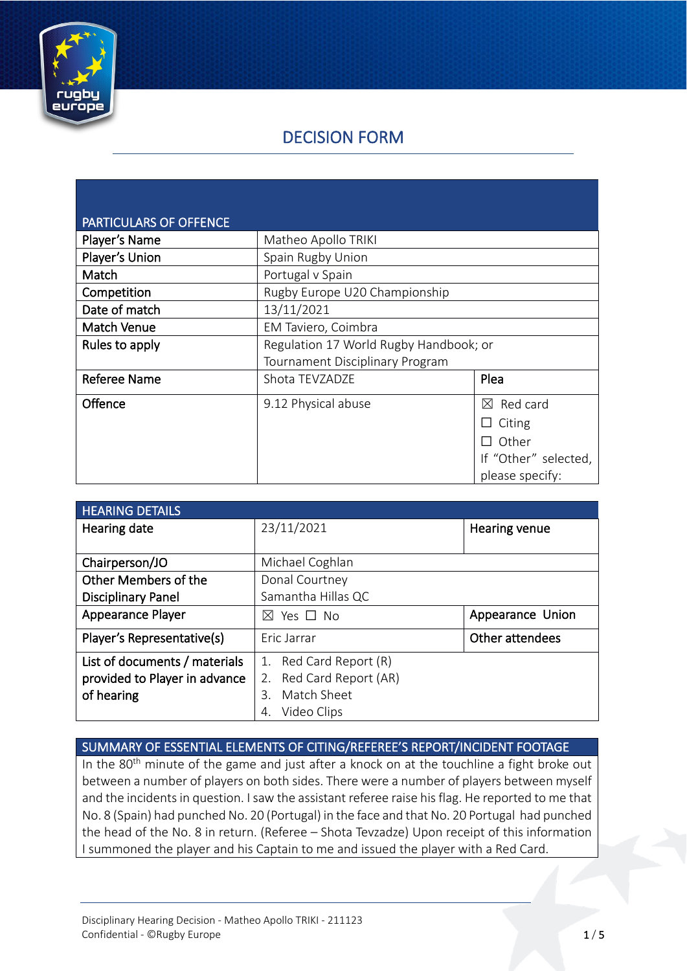

# DECISION FORM

| <b>PARTICULARS OF OFFENCE</b> |                                        |                         |
|-------------------------------|----------------------------------------|-------------------------|
| Player's Name                 | Matheo Apollo TRIKI                    |                         |
| Player's Union                | Spain Rugby Union                      |                         |
| Match                         | Portugal v Spain                       |                         |
| Competition                   | Rugby Europe U20 Championship          |                         |
| Date of match                 | 13/11/2021                             |                         |
| <b>Match Venue</b>            | EM Taviero, Coimbra                    |                         |
| Rules to apply                | Regulation 17 World Rugby Handbook; or |                         |
|                               | Tournament Disciplinary Program        |                         |
| <b>Referee Name</b>           | Shota TEVZADZE                         | Plea                    |
| Offence                       | 9.12 Physical abuse                    | Red card<br>$\boxtimes$ |
|                               |                                        | Citing                  |
|                               |                                        | Other                   |
|                               |                                        | If "Other" selected,    |
|                               |                                        | please specify:         |

| <b>HEARING DETAILS</b>        |                         |                      |
|-------------------------------|-------------------------|----------------------|
| Hearing date                  | 23/11/2021              | <b>Hearing venue</b> |
|                               |                         |                      |
| Chairperson/JO                | Michael Coghlan         |                      |
| Other Members of the          | Donal Courtney          |                      |
| <b>Disciplinary Panel</b>     | Samantha Hillas QC      |                      |
| <b>Appearance Player</b>      | Yes □ No<br>$\bowtie$   | Appearance Union     |
| Player's Representative(s)    | Eric Jarrar             | Other attendees      |
| List of documents / materials | 1. Red Card Report (R)  |                      |
| provided to Player in advance | 2. Red Card Report (AR) |                      |
| of hearing                    | Match Sheet<br>3.       |                      |
|                               | Video Clips<br>4.       |                      |

### SUMMARY OF ESSENTIAL ELEMENTS OF CITING/REFEREE'S REPORT/INCIDENT FOOTAGE

In the 80<sup>th</sup> minute of the game and just after a knock on at the touchline a fight broke out between a number of players on both sides. There were a number of players between myself and the incidents in question. I saw the assistant referee raise his flag. He reported to me that No. 8 (Spain) had punched No. 20 (Portugal) in the face and that No. 20 Portugal had punched the head of the No. 8 in return. (Referee – Shota Tevzadze) Upon receipt of this information I summoned the player and his Captain to me and issued the player with a Red Card.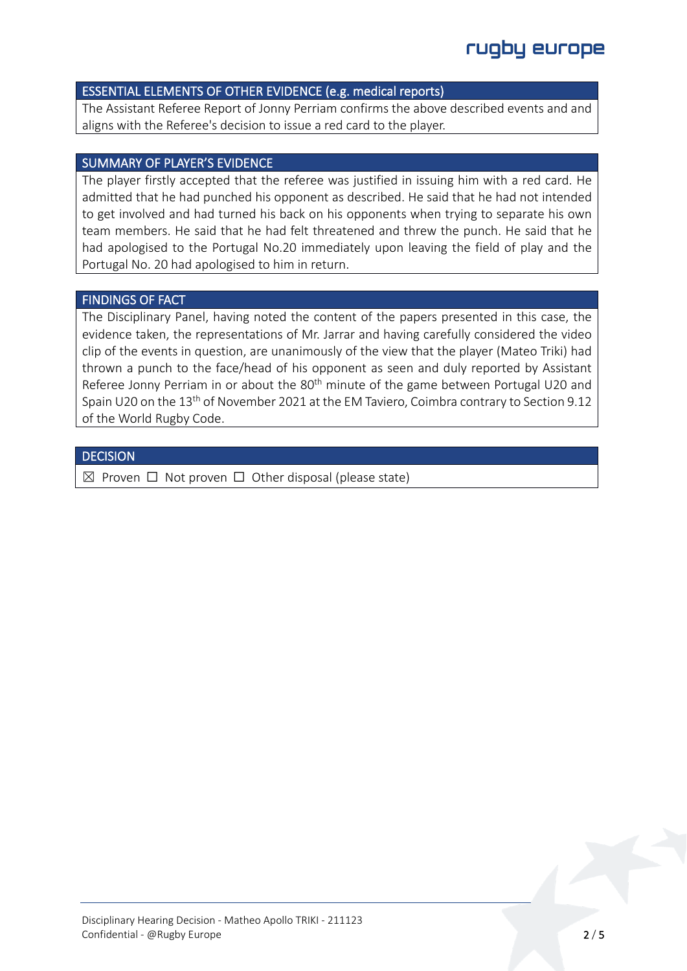### ESSENTIAL ELEMENTS OF OTHER EVIDENCE (e.g. medical reports)

The Assistant Referee Report of Jonny Perriam confirms the above described events and and aligns with the Referee's decision to issue a red card to the player.

#### SUMMARY OF PLAYER'S EVIDENCE

The player firstly accepted that the referee was justified in issuing him with a red card. He admitted that he had punched his opponent as described. He said that he had not intended to get involved and had turned his back on his opponents when trying to separate his own team members. He said that he had felt threatened and threw the punch. He said that he had apologised to the Portugal No.20 immediately upon leaving the field of play and the Portugal No. 20 had apologised to him in return.

### FINDINGS OF FACT

The Disciplinary Panel, having noted the content of the papers presented in this case, the evidence taken, the representations of Mr. Jarrar and having carefully considered the video clip of the events in question, are unanimously of the view that the player (Mateo Triki) had thrown a punch to the face/head of his opponent as seen and duly reported by Assistant Referee Jonny Perriam in or about the 80<sup>th</sup> minute of the game between Portugal U20 and Spain U20 on the 13th of November 2021 at the EM Taviero, Coimbra contrary to Section 9.12 of the World Rugby Code.

#### **DECISION**

 $\boxtimes$  Proven  $\Box$  Not proven  $\Box$  Other disposal (please state)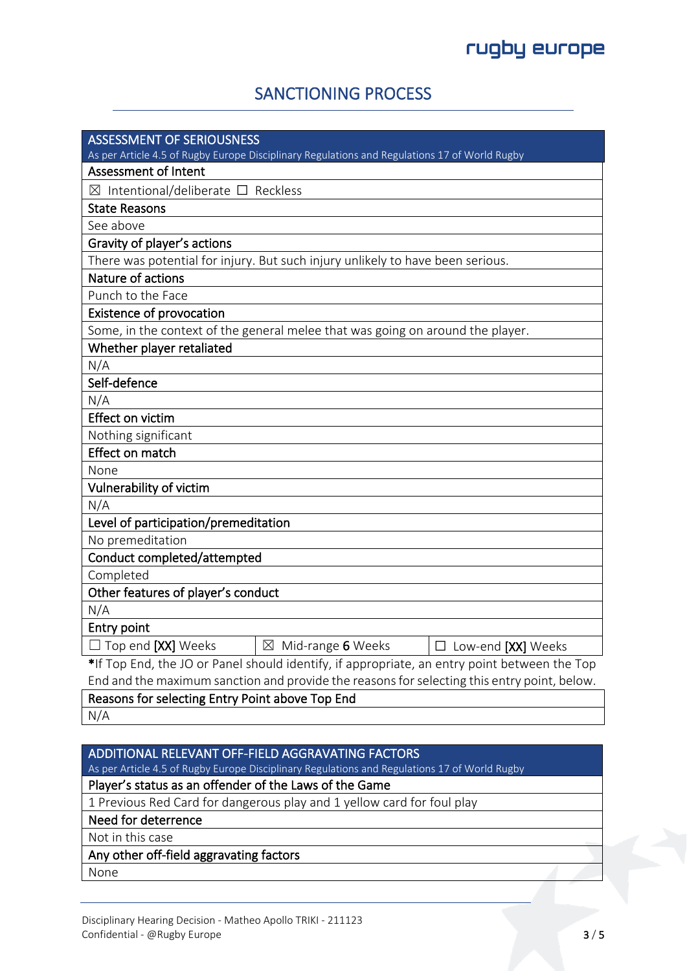## SANCTIONING PROCESS

| <b>ASSESSMENT OF SERIOUSNESS</b>                                                              |
|-----------------------------------------------------------------------------------------------|
| As per Article 4.5 of Rugby Europe Disciplinary Regulations and Regulations 17 of World Rugby |
| <b>Assessment of Intent</b>                                                                   |
| $\boxtimes$ Intentional/deliberate $\square$ Reckless                                         |
| <b>State Reasons</b>                                                                          |
| See above                                                                                     |
| Gravity of player's actions                                                                   |
| There was potential for injury. But such injury unlikely to have been serious.                |
| Nature of actions                                                                             |
| Punch to the Face                                                                             |
| <b>Existence of provocation</b>                                                               |
| Some, in the context of the general melee that was going on around the player.                |
| Whether player retaliated                                                                     |
| N/A                                                                                           |
| Self-defence                                                                                  |
| N/A                                                                                           |
| Effect on victim                                                                              |
| Nothing significant                                                                           |
| Effect on match                                                                               |
| None                                                                                          |
| Vulnerability of victim                                                                       |
| N/A                                                                                           |
| Level of participation/premeditation                                                          |
| No premeditation                                                                              |
| Conduct completed/attempted                                                                   |
| Completed                                                                                     |
| Other features of player's conduct                                                            |
| N/A                                                                                           |
| Entry point                                                                                   |
| $\Box$ Top end [XX] Weeks<br>$\boxtimes$ Mid-range 6 Weeks<br>$\Box$ Low-end [XX] Weeks       |
| *If Top End, the JO or Panel should identify, if appropriate, an entry point between the Top  |
| End and the maximum sanction and provide the reasons for selecting this entry point, below.   |
| Reasons for selecting Entry Point above Top End                                               |
| N/A                                                                                           |

### ADDITIONAL RELEVANT OFF-FIELD AGGRAVATING FACTORS

As per Article 4.5 of Rugby Europe Disciplinary Regulations and Regulations 17 of World Rugby

### Player's status as an offender of the Laws of the Game

1 Previous Red Card for dangerous play and 1 yellow card for foul play

Need for deterrence

Not in this case

### Any other off-field aggravating factors

None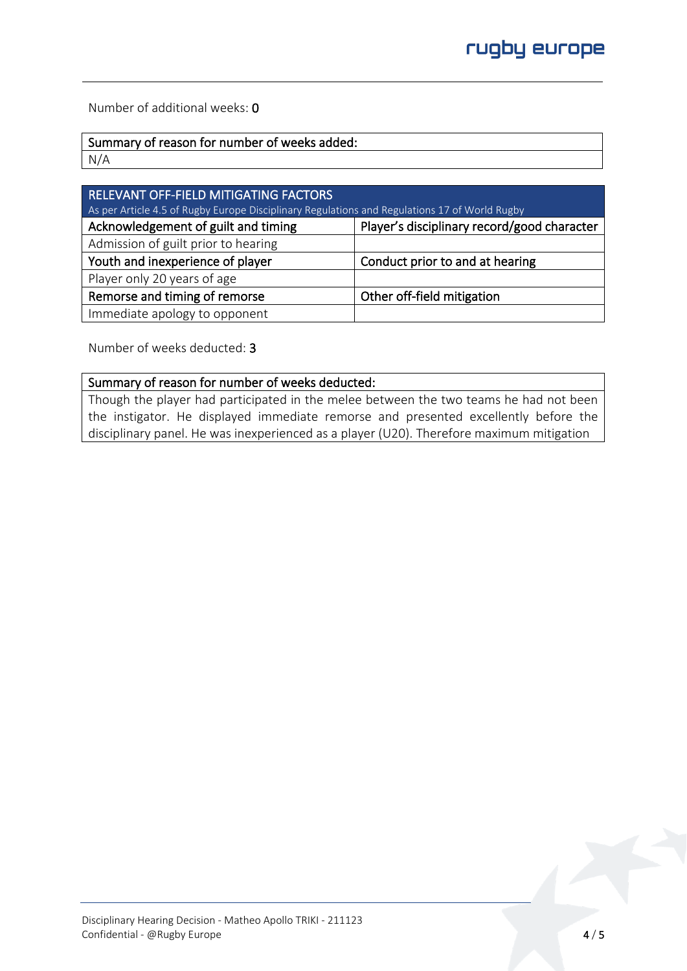Number of additional weeks: 0

| Summary of reason for number of weeks added: |  |
|----------------------------------------------|--|
| N/A                                          |  |

| RELEVANT OFF-FIELD MITIGATING FACTORS<br>As per Article 4.5 of Rugby Europe Disciplinary Regulations and Regulations 17 of World Rugby |                                             |  |
|----------------------------------------------------------------------------------------------------------------------------------------|---------------------------------------------|--|
| Acknowledgement of guilt and timing                                                                                                    | Player's disciplinary record/good character |  |
| Admission of guilt prior to hearing                                                                                                    |                                             |  |
| Youth and inexperience of player                                                                                                       | Conduct prior to and at hearing             |  |
| Player only 20 years of age                                                                                                            |                                             |  |
| Remorse and timing of remorse                                                                                                          | Other off-field mitigation                  |  |
| Immediate apology to opponent                                                                                                          |                                             |  |

Number of weeks deducted: 3

### Summary of reason for number of weeks deducted:

Though the player had participated in the melee between the two teams he had not been the instigator. He displayed immediate remorse and presented excellently before the disciplinary panel. He was inexperienced as a player (U20). Therefore maximum mitigation